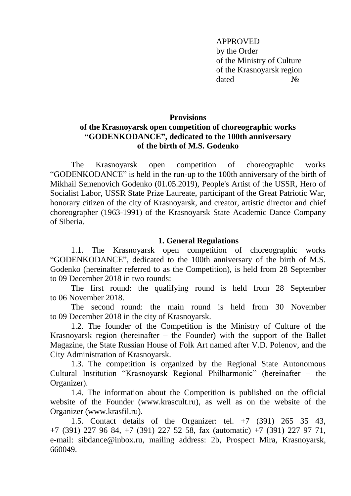APPROVED by the Order of the Ministry of Culture of the Krasnoyarsk region dated No

#### **Provisions**

## **of the Krasnoyarsk open competition of choreographic works "GODENKODANCE" , dedicated to the 100th anniversary of the birth of M.S. Godenko**

The Krasnoyarsk open competition of choreographic works "GODENKODANCE" is held in the run-up to the 100th anniversary of the birth of Mikhail Semenovich Godenko (01.05.2019), People's Artist of the USSR, Hero of Socialist Labor, USSR State Prize Laureate, participant of the Great Patriotic War, honorary citizen of the city of Krasnoyarsk, and creator, artistic director and chief choreographer (1963-1991) of the Krasnoyarsk State Academic Dance Company of Siberia.

#### **1. General Regulations**

1.1. The Krasnoyarsk open competition of choreographic works "GODENKODANCE", dedicated to the 100th anniversary of the birth of M.S. Godenko (hereinafter referred to as the Competition), is held from 28 September to 09 December 2018 in two rounds:

The first round: the qualifying round is held from 28 September to 06 November 2018.

The second round: the main round is held from 30 November to 09 December 2018 in the city of Krasnoyarsk.

1.2. The founder of the Competition is the Ministry of Culture of the Krasnoyarsk region (hereinafter – the Founder) with the support of the Ballet Magazine, the State Russian House of Folk Art named after V.D. Polenov, and the City Administration of Krasnoyarsk.

1.3. The competition is organized by the Regional State Autonomous Cultural Institution "Krasnoyarsk Regional Philharmonic" (hereinafter – the Organizer).

1.4. The information about the Competition is published on the official website of the Founder (www.krascult.ru), as well as on the website of the Organizer (www.krasfil.ru).

1.5. Contact details of the Organizer: tel. +7 (391) 265 35 43, +7 (391) 227 96 84, +7 (391) 227 52 58, fax (automatic) +7 (391) 227 97 71, e-mail: sibdance@inbox.ru, mailing address: 2b, Prospect Mira, Krasnoyarsk, 660049.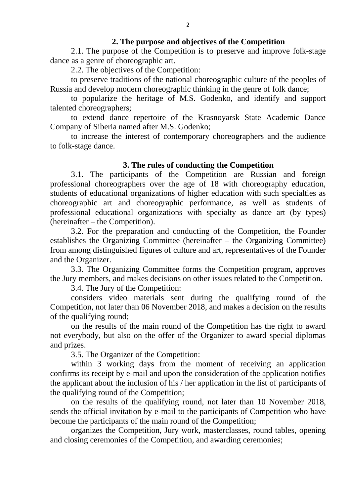#### **2. The purpose and objectives of the Competition**

2.1. The purpose of the Competition is to preserve and improve folk-stage dance as a genre of choreographic art.

2.2. The objectives of the Competition:

to preserve traditions of the national choreographic culture of the peoples of Russia and develop modern choreographic thinking in the genre of folk dance;

to popularize the heritage of M.S. Godenko, and identify and support talented choreographers;

to extend dance repertoire of the Krasnoyarsk State Academic Dance Company of Siberia named after M.S. Godenko;

to increase the interest of contemporary choreographers and the audience to folk-stage dance.

#### **3. The rules of conducting the Competition**

3.1. The participants of the Competition are Russian and foreign professional choreographers over the age of 18 with choreography education, students of educational organizations of higher education with such specialties as choreographic art and choreographic performance, as well as students of professional educational organizations with specialty as dance art (by types) (hereinafter – the Competition).

3.2. For the preparation and conducting of the Competition, the Founder establishes the Organizing Committee (hereinafter – the Organizing Committee) from among distinguished figures of culture and art, representatives of the Founder and the Organizer.

3.3. The Organizing Committee forms the Competition program, approves the Jury members, and makes decisions on other issues related to the Competition.

3.4. The Jury of the Competition:

considers video materials sent during the qualifying round of the Competition, not later than 06 November 2018, and makes a decision on the results of the qualifying round;

on the results of the main round of the Competition has the right to award not everybody, but also on the offer of the Organizer to award special diplomas and prizes.

3.5. The Organizer of the Competition:

within 3 working days from the moment of receiving an application confirms its receipt by e-mail and upon the consideration of the application notifies the applicant about the inclusion of his / her application in the list of participants of the qualifying round of the Competition;

on the results of the qualifying round, not later than 10 November 2018, sends the official invitation by e-mail to the participants of Competition who have become the participants of the main round of the Competition;

organizes the Competition, Jury work, masterclasses, round tables, opening and closing ceremonies of the Competition, and awarding ceremonies;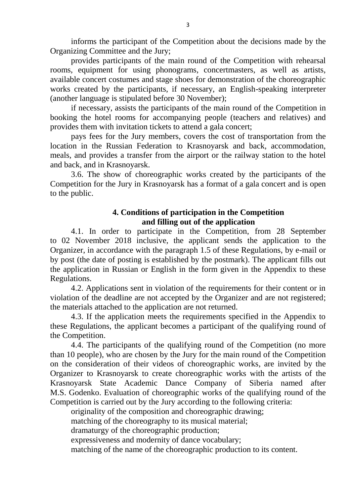informs the participant of the Competition about the decisions made by the Organizing Committee and the Jury;

provides participants of the main round of the Competition with rehearsal rooms, equipment for using phonograms, concertmasters, as well as artists, available concert costumes and stage shoes for demonstration of the choreographic works created by the participants, if necessary, an English-speaking interpreter (another language is stipulated before 30 November);

if necessary, assists the participants of the main round of the Competition in booking the hotel rooms for accompanying people (teachers and relatives) and provides them with invitation tickets to attend a gala concert;

pays fees for the Jury members, covers the cost of transportation from the location in the Russian Federation to Krasnoyarsk and back, accommodation, meals, and provides a transfer from the airport or the railway station to the hotel and back, and in Krasnoyarsk.

3.6. The show of choreographic works created by the participants of the Competition for the Jury in Krasnoyarsk has a format of a gala concert and is open to the public.

### **4. Conditions of participation in the Competition and filling out of the application**

4.1. In order to participate in the Competition, from 28 September to 02 November 2018 inclusive, the applicant sends the application to the Organizer, in accordance with the paragraph 1.5 of these Regulations, by e-mail or by post (the date of posting is established by the postmark). The applicant fills out the application in Russian or English in the form given in the Appendix to these Regulations.

4.2. Applications sent in violation of the requirements for their content or in violation of the deadline are not accepted by the Organizer and are not registered; the materials attached to the application are not returned.

4.3. If the application meets the requirements specified in the Appendix to these Regulations, the applicant becomes a participant of the qualifying round of the Competition.

4.4. The participants of the qualifying round of the Competition (no more than 10 people), who are chosen by the Jury for the main round of the Competition on the consideration of their videos of choreographic works, are invited by the Organizer to Krasnoyarsk to create choreographic works with the artists of the Krasnoyarsk State Academic Dance Company of Siberia named after M.S. Godenko. Evaluation of choreographic works of the qualifying round of the Competition is carried out by the Jury according to the following criteria:

originality of the composition and choreographic drawing;

matching of the choreography to its musical material;

dramaturgy of the choreographic production;

expressiveness and modernity of dance vocabulary;

matching of the name of the choreographic production to its content.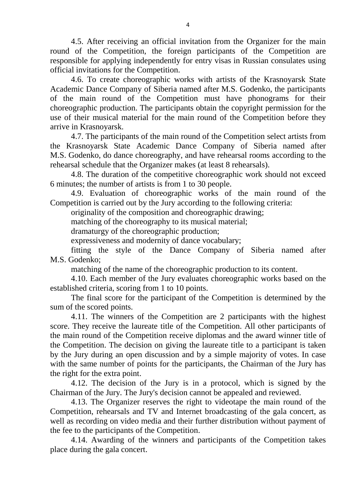4.5. After receiving an official invitation from the Organizer for the main round of the Competition, the foreign participants of the Competition are responsible for applying independently for entry visas in Russian consulates using official invitations for the Competition.

4.6. To create choreographic works with artists of the Krasnoyarsk State Academic Dance Company of Siberia named after M.S. Godenko, the participants of the main round of the Competition must have phonograms for their choreographic production. The participants obtain the copyright permission for the use of their musical material for the main round of the Competition before they arrive in Krasnoyarsk.

4.7. The participants of the main round of the Competition select artists from the Krasnoyarsk State Academic Dance Company of Siberia named after M.S. Godenko, do dance choreography, and have rehearsal rooms according to the rehearsal schedule that the Organizer makes (at least 8 rehearsals).

4.8. The duration of the competitive choreographic work should not exceed 6 minutes; the number of artists is from 1 to 30 people.

4.9. Evaluation of choreographic works of the main round of the Competition is carried out by the Jury according to the following criteria:

originality of the composition and choreographic drawing;

matching of the choreography to its musical material;

dramaturgy of the choreographic production;

expressiveness and modernity of dance vocabulary;

fitting the style of the Dance Company of Siberia named after M.S. Godenko;

matching of the name of the choreographic production to its content.

4.10. Each member of the Jury evaluates choreographic works based on the established criteria, scoring from 1 to 10 points.

The final score for the participant of the Competition is determined by the sum of the scored points.

4.11. The winners of the Competition are 2 participants with the highest score. They receive the laureate title of the Competition. All other participants of the main round of the Competition receive diplomas and the award winner title of the Competition. The decision on giving the laureate title to a participant is taken by the Jury during an open discussion and by a simple majority of votes. In case with the same number of points for the participants, the Chairman of the Jury has the right for the extra point.

4.12. The decision of the Jury is in a protocol, which is signed by the Chairman of the Jury. The Jury's decision cannot be appealed and reviewed.

4.13. The Organizer reserves the right to videotape the main round of the Competition, rehearsals and TV and Internet broadcasting of the gala concert, as well as recording on video media and their further distribution without payment of the fee to the participants of the Competition.

4.14. Awarding of the winners and participants of the Competition takes place during the gala concert.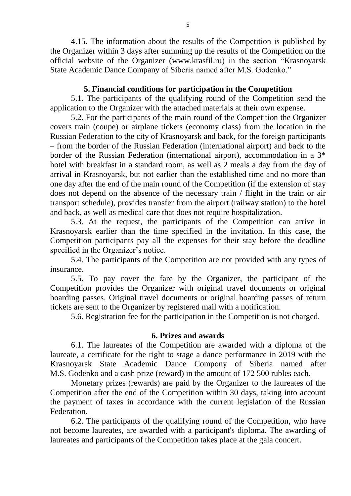4.15. The information about the results of the Competition is published by the Organizer within 3 days after summing up the results of the Competition on the official website of the Organizer (www.krasfil.ru) in the section "Krasnoyarsk State Academic Dance Company of Siberia named after M.S. Godenko."

#### **5. Financial conditions for participation in the Competition**

5.1. The participants of the qualifying round of the Competition send the application to the Organizer with the attached materials at their own expense.

5.2. For the participants of the main round of the Competition the Organizer covers train (coupe) or airplane tickets (economy class) from the location in the Russian Federation to the city of Krasnoyarsk and back, for the foreign participants – from the border of the Russian Federation (international airport) and back to the border of the Russian Federation (international airport), accommodation in a 3\* hotel with breakfast in a standard room, as well as 2 meals a day from the day of arrival in Krasnoyarsk, but not earlier than the established time and no more than one day after the end of the main round of the Competition (if the extension of stay does not depend on the absence of the necessary train / flight in the train or air transport schedule), provides transfer from the airport (railway station) to the hotel and back, as well as medical care that does not require hospitalization.

5.3. At the request, the participants of the Competition can arrive in Krasnoyarsk earlier than the time specified in the invitation. In this case, the Competition participants pay all the expenses for their stay before the deadline specified in the Organizer's notice.

5.4. The participants of the Competition are not provided with any types of insurance.

5.5. To pay cover the fare by the Organizer, the participant of the Competition provides the Organizer with original travel documents or original boarding passes. Original travel documents or original boarding passes of return tickets are sent to the Organizer by registered mail with a notification.

5.6. Registration fee for the participation in the Competition is not charged.

### **6. Prizes and awards**

6.1. The laureates of the Competition are awarded with a diploma of the laureate, a certificate for the right to stage a dance performance in 2019 with the Krasnoyarsk State Academic Dance Compony of Siberia named after M.S. Godenko and a cash prize (reward) in the amount of 172 500 rubles each.

Monetary prizes (rewards) are paid by the Organizer to the laureates of the Competition after the end of the Competition within 30 days, taking into account the payment of taxes in accordance with the current legislation of the Russian Federation.

6.2. The participants of the qualifying round of the Competition, who have not become laureates, are awarded with a participant's diploma. The awarding of laureates and participants of the Competition takes place at the gala concert.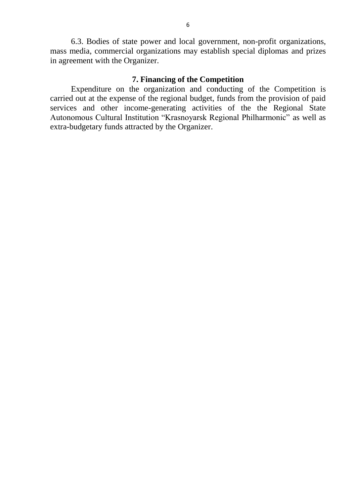6.3. Bodies of state power and local government, non-profit organizations, mass media, commercial organizations may establish special diplomas and prizes in agreement with the Organizer.

### **7. Financing of the Competition**

Expenditure on the organization and conducting of the Competition is carried out at the expense of the regional budget, funds from the provision of paid services and other income-generating activities of the the Regional State Autonomous Cultural Institution "Krasnoyarsk Regional Philharmonic" as well as extra-budgetary funds attracted by the Organizer.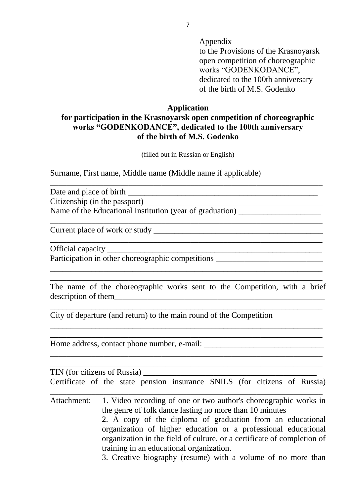Appendix

to the Provisions of the Krasnoyarsk open competition of choreographic works "GODENKODANCE", dedicated to the 100th anniversary of the birth of M.S. Godenko

 $\mathcal{L}_\text{max} = \mathcal{L}_\text{max} = \mathcal{L}_\text{max} = \mathcal{L}_\text{max} = \mathcal{L}_\text{max} = \mathcal{L}_\text{max} = \mathcal{L}_\text{max} = \mathcal{L}_\text{max} = \mathcal{L}_\text{max} = \mathcal{L}_\text{max} = \mathcal{L}_\text{max} = \mathcal{L}_\text{max} = \mathcal{L}_\text{max} = \mathcal{L}_\text{max} = \mathcal{L}_\text{max} = \mathcal{L}_\text{max} = \mathcal{L}_\text{max} = \mathcal{L}_\text{max} = \mathcal{$ 

#### **Application**

# **for participation in the Krasnoyarsk open competition of choreographic works "GODENKODANCE", dedicated to the 100th anniversary of the birth of M.S. Godenko**

(filled out in Russian or English)

\_\_\_\_\_\_\_\_\_\_\_\_\_\_\_\_\_\_\_\_\_\_\_\_\_\_\_\_\_\_\_\_\_\_\_\_\_\_\_\_\_\_\_\_\_\_\_\_\_\_\_\_\_\_\_\_\_\_\_\_\_\_\_\_\_\_

\_\_\_\_\_\_\_\_\_\_\_\_\_\_\_\_\_\_\_\_\_\_\_\_\_\_\_\_\_\_\_\_\_\_\_\_\_\_\_\_\_\_\_\_\_\_\_\_\_\_\_\_\_\_\_\_\_\_\_\_\_\_\_\_\_\_

\_\_\_\_\_\_\_\_\_\_\_\_\_\_\_\_\_\_\_\_\_\_\_\_\_\_\_\_\_\_\_\_\_\_\_\_\_\_\_\_\_\_\_\_\_\_\_\_\_\_\_\_\_\_\_\_\_\_\_\_\_\_\_\_\_\_ \_\_\_\_\_\_\_\_\_\_\_\_\_\_\_\_\_\_\_\_\_\_\_\_\_\_\_\_\_\_\_\_\_\_\_\_\_\_\_\_\_\_\_\_\_\_\_\_\_\_\_\_\_\_\_\_\_\_\_\_\_\_\_\_\_\_

Surname, First name, Middle name (Middle name if applicable)

Date and place of birth \_\_\_\_\_\_\_\_\_\_\_\_\_\_\_\_\_\_\_\_\_\_\_\_\_\_\_\_\_\_\_\_\_\_\_\_\_\_\_\_\_\_\_\_\_\_

Citizenship (in the passport)

Name of the Educational Institution (year of graduation) \_\_\_\_\_\_\_\_\_\_\_\_\_\_\_\_\_\_\_\_\_\_\_

Current place of work or study \_\_\_\_\_\_\_\_\_\_\_\_\_\_\_\_\_\_\_\_\_\_\_\_\_\_\_\_\_\_\_\_\_\_\_\_\_\_\_\_\_

Official capacity

Participation in other choreographic competitions \_\_\_\_\_\_\_\_\_\_\_\_\_\_\_\_\_\_\_\_\_\_\_\_\_\_\_\_\_\_

The name of the choreographic works sent to the Competition, with a brief description of them

 $\_$  , and the contribution of the contribution of  $\mathcal{L}_1$  , and  $\mathcal{L}_2$  , and  $\mathcal{L}_3$  , and  $\mathcal{L}_4$  , and  $\mathcal{L}_5$  , and  $\mathcal{L}_6$  , and  $\mathcal{L}_7$  , and  $\mathcal{L}_8$  , and  $\mathcal{L}_7$  , and  $\mathcal{L}_8$  , and  $\mathcal{L}_9$  ,

\_\_\_\_\_\_\_\_\_\_\_\_\_\_\_\_\_\_\_\_\_\_\_\_\_\_\_\_\_\_\_\_\_\_\_\_\_\_\_\_\_\_\_\_\_\_\_\_\_\_\_\_\_\_\_\_\_\_\_\_\_\_\_\_\_\_  $\_$  , and the contribution of the contribution of  $\mathcal{L}_1$  , and  $\mathcal{L}_2$  , and  $\mathcal{L}_3$  , and  $\mathcal{L}_4$  , and  $\mathcal{L}_5$  , and  $\mathcal{L}_6$  , and  $\mathcal{L}_7$  , and  $\mathcal{L}_8$  , and  $\mathcal{L}_7$  , and  $\mathcal{L}_8$  , and  $\mathcal{L}_9$  ,

\_\_\_\_\_\_\_\_\_\_\_\_\_\_\_\_\_\_\_\_\_\_\_\_\_\_\_\_\_\_\_\_\_\_\_\_\_\_\_\_\_\_\_\_\_\_\_\_\_\_\_\_\_\_\_\_\_\_\_\_\_\_\_\_\_\_ \_\_\_\_\_\_\_\_\_\_\_\_\_\_\_\_\_\_\_\_\_\_\_\_\_\_\_\_\_\_\_\_\_\_\_\_\_\_\_\_\_\_\_\_\_\_\_\_\_\_\_\_\_\_\_\_\_\_\_\_\_\_\_\_\_\_

City of departure (and return) to the main round of the Competition

Home address, contact phone number, e-mail: \_\_\_\_\_\_\_\_\_\_\_\_\_\_\_\_\_\_\_\_\_\_\_\_\_\_\_\_\_

| TIN (for citizens of Russia)                                              |                                                                                                                                                                                                                                                     |  |  |  |  |  |  |  |  |
|---------------------------------------------------------------------------|-----------------------------------------------------------------------------------------------------------------------------------------------------------------------------------------------------------------------------------------------------|--|--|--|--|--|--|--|--|
| Certificate of the state pension insurance SNILS (for citizens of Russia) |                                                                                                                                                                                                                                                     |  |  |  |  |  |  |  |  |
|                                                                           | Attachment: 1. Video recording of one or two author's choreographic works in<br>the genre of folk dance lasting no more than 10 minutes                                                                                                             |  |  |  |  |  |  |  |  |
|                                                                           | 2. A copy of the diploma of graduation from an educational<br>organization of higher education or a professional educational<br>organization in the field of culture, or a certificate of completion of<br>training in an educational organization. |  |  |  |  |  |  |  |  |
|                                                                           | 2. Constitue biography (mayma) with a valume of no more than                                                                                                                                                                                        |  |  |  |  |  |  |  |  |

3. Creative biography (resume) with a volume of no more than